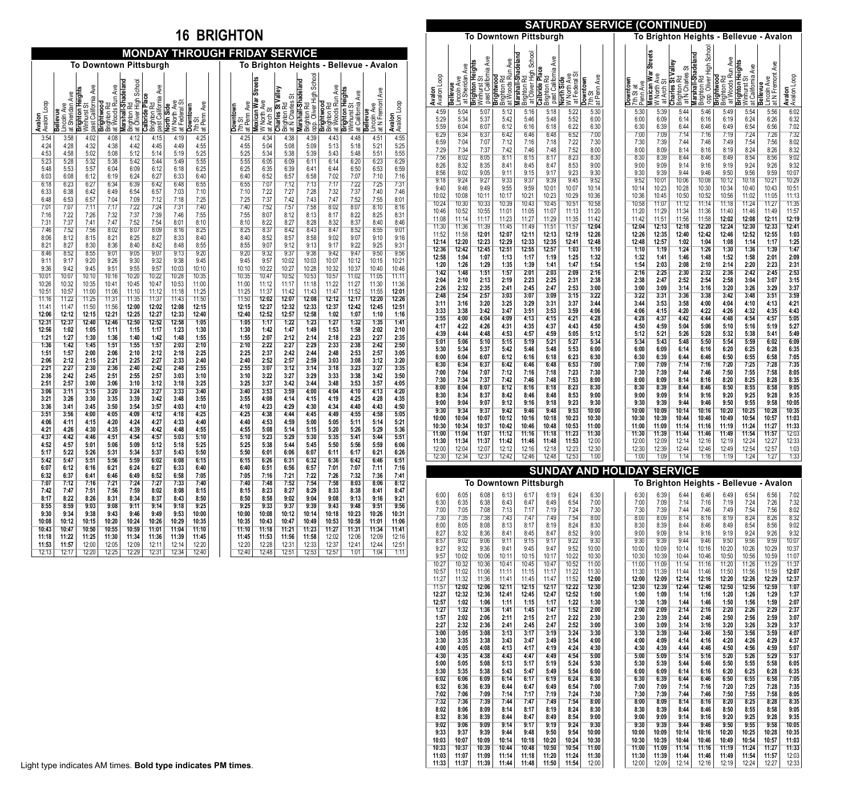## **16 BRIGHTON**

|                         |                                                   |                                                                 |                                               |                                                            |                                                             |                                         | MONDAY THROUGH FRIDAY SERVICE       |  |                                     |                                                                   |                                                        |                                                              |                                               |                                                        |                                                |                                                                                                          |
|-------------------------|---------------------------------------------------|-----------------------------------------------------------------|-----------------------------------------------|------------------------------------------------------------|-------------------------------------------------------------|-----------------------------------------|-------------------------------------|--|-------------------------------------|-------------------------------------------------------------------|--------------------------------------------------------|--------------------------------------------------------------|-----------------------------------------------|--------------------------------------------------------|------------------------------------------------|----------------------------------------------------------------------------------------------------------|
|                         |                                                   |                                                                 |                                               |                                                            | <b>To Downtown Pittsburgh</b>                               |                                         |                                     |  |                                     |                                                                   | <b>To Brighton Heights</b>                             |                                                              | $\blacksquare$                                | <b>Bellevue</b>                                        | - Avalon                                       |                                                                                                          |
| Avalon Loop<br>Avalon   | at Sheridan Ave<br>Lincoln Ave<br><b>Bellevue</b> | past California Ave<br><b>Brighton Heights</b><br>ळ<br>Winhurst | Brighton Rd<br>at Woods Run Ave<br>Brightwood | Marshall-Shadeland<br>Brighton Rd<br>at Oliver High School | past California Ave<br><b>Calbride Place</b><br>Brighton Rd | W North Ave<br>North Side<br>at Federal | at Penn Ave<br>Downtown<br>ळ<br>7th |  | at Penn Ave<br>Downtown<br>あ<br>7th | <b>Streets</b><br><b>Mexican War</b><br>W North Ave<br>at Arch St | Charles St Valley<br>लं<br>at N Charles<br>Brighton Rd | opp. Oliver High School<br>Marshall-Shadeland<br>Brighton Rd | at Woods Run Ave<br>Brightwood<br>Brighton Rd | Brighton Heights<br>at California Ave<br>あ<br>Winhurst | Ave<br>at N Fremont<br>Lincoln Ave<br>Bellevue | <b>SHORE ASSESS 6:25 6:25 6:25 6:25 6:25 6:25 7:16</b>                                                   |
| 3:54                    | 3:58                                              | 4:02                                                            | 4:08                                          | 4:12                                                       | 4:15                                                        | 4:19                                    | 4:25                                |  | 4:25                                | 4:34                                                              | 4:38                                                   | 4:39                                                         | 4:43                                          | 4:48                                                   | 4:51                                           |                                                                                                          |
| 4:24<br>4:53            | 4:28<br>4:58                                      | 4:32<br>5:02                                                    | 4:38<br>5:08                                  | 4:42<br>5:12                                               | 4:45<br>5:14                                                | 4:49<br>5:19                            | 4:55<br>5:25                        |  | 4:55<br>5:25                        | 5:04<br>5:34                                                      | 5:08<br>5:38                                           | 5:09<br>5:39                                                 | 5:13<br>5:43                                  | 5:18<br>5:48                                           | 5:21<br>5:51                                   |                                                                                                          |
| 5:23<br>5:48<br>6:03    | 5:28<br>5:53<br>6:08                              | 5:32<br>5:57<br>6:12                                            | 5:38<br>6:04<br>6:19                          | 5:42<br>6:09<br>6:24                                       | 5:44<br>6:12<br>6:27                                        | 5:49<br>6:18<br>6:33                    | 5:55<br>6:25<br>6:40                |  | 5:55<br>6:25<br>6:40                | 6:05<br>6:35<br>6:52                                              | 6:09<br>6:39<br>6:57                                   | 6:11<br>6:41<br>6:58                                         | 6:14<br>6:44<br>7:02                          | 6:20<br>6:50<br>7:07                                   | 6:23<br>6:53<br>7:10                           |                                                                                                          |
| 6:18<br>6:33<br>6:48    | 6:23<br>6:38<br>6:53                              | 6:27<br>6:42<br>6:57                                            | 6:34<br>6:49<br>7:04                          | 6:39<br>6:54<br>7:09                                       | 6:42<br>6:57<br>7:12                                        | 6:48<br>7:03<br>7:18                    | 6:55<br>7:10<br>7:25                |  | 6:55<br>7:10<br>7:25                | 7:07<br>7:22<br>7:37                                              | 7:12<br>7:27<br>7:42                                   | 7:13<br>7:28<br>7:43                                         | 7:17<br>7:32<br>7:47                          | 7:22<br>7:37<br>7:52                                   | 7:25<br>7:40<br>7:55                           | 7:46<br>8:01                                                                                             |
| 7:01<br>7:16            | 7:07<br>7:22                                      | 7:11<br>7:26                                                    | 7:17<br>7:32                                  | 7:22<br>7:37                                               | 7:24<br>7:39                                                | 7:31<br>7:46                            | 7:40<br>7:55                        |  | 7:40<br>7:55                        | 7:52<br>8:07                                                      | 7:57<br>8:12                                           | 7:58<br>8:13                                                 | 8:02<br>8:17                                  | 8:07<br>8:22                                           | 8:10<br>8:25                                   | $\frac{1}{8:16}$<br>8:31                                                                                 |
| 7:31<br>7:46<br>8:06    | 7:37<br>7:52<br>8:12                              | 7:41<br>7:56<br>8:15                                            | 7:47<br>8:02<br>8:21                          | 7:52<br>8:07<br>8:25                                       | 7:54<br>8:09<br>8:27                                        | 8:01<br>8:16<br>8:33                    | 8:10<br>8:25<br>8:40                |  | 8:10<br>8:25<br>8:40                | 8:22<br>8:37<br>8:52                                              | 8:27<br>8:42<br>8:57                                   | 8:28<br>8:43<br>8:58                                         | 8:32<br>8:47<br>9:02                          | 8:37<br>8:52<br>9:07                                   | 8:40<br>8:55<br>9:10                           | 8:46<br>9:01<br>9:16                                                                                     |
| 8:21<br>8:46<br>9:11    | 8:27<br>8:52<br>9:17                              | 8:30<br>8:55<br>9:20                                            | 8:36<br>9:01<br>9:26                          | 8:40<br>9:05<br>9:30                                       | 8:42<br>9:07<br>9:32                                        | 8:48<br>9:13<br>9:38                    | 8:55<br>9:20<br>9:45                |  | 8:55<br>9:20<br>9:45                | 9:07<br>9:32<br>9:57                                              | 9:12<br>9:37<br>10:02                                  | 9:13<br>9:38<br>10:03                                        | 9:17<br>9:42<br>10:07                         | 9:22<br>9:47<br>10:12                                  | 9:25<br>9:50<br>10:15                          | 9:31<br>10:21                                                                                            |
| 9:36<br>10:01           | 9:42<br>10:07                                     | 9:45<br>10:10                                                   | 9:51<br>10:16                                 | 9:55<br>10:20                                              | 9:57<br>10:22                                               | 10:03<br>10:28                          | 10:10<br>10:35                      |  | 10:10<br>10:35                      | 10:22<br>10:47                                                    | 10:27<br>10:52                                         | 10:28<br>10:53                                               | 10:32<br>10:57                                | 10:37<br>11:02                                         | 10:40<br>11:05                                 | 10:46<br>11:11                                                                                           |
| 10:26<br>10:51<br>11:16 | 10:32<br>10:57<br>11:22                           | 10:35<br>11:00<br>11:25                                         | 10:41<br>11:06<br>11:31                       | 10:45<br>11:10<br>11:35                                    | 10:47<br>11:12<br>11:37                                     | 10:53<br>11:18<br>11:43                 | 11:00<br>11:25<br>11:50             |  | 11:00<br>11:25<br>11:50             | 11:12<br>11:37<br>12:02                                           | 11:17<br>11:42<br>12:07                                | 11:18<br>11:43<br>12:08                                      | 11:22<br>11:47<br>12:12                       | 11:27<br>11:52<br>12:17                                | 11:30<br>11:55<br>12:20                        | 11:36<br>12:01<br>12:26<br>12:51                                                                         |
| 11:41<br>12:06<br>12:31 | 11:47<br>12:12<br>12:37                           | 11:50<br>12:15<br>12:40                                         | 11:56<br>12:21<br>12:46                       | 12:00<br>12:25<br>12:50                                    | 12:02<br>12:27<br>12:52                                     | 12:08<br>12:33<br>12:58                 | 12:15<br>12:40<br>1:05              |  | 12:15<br>12:40<br>1:05              | 12:27<br>12:52<br>1:17                                            | 12:32<br>12:57<br>1:22                                 | 12:33<br>12:58<br>1:23                                       | 12:37<br>1:02<br>1:27                         | 12:42<br>1:07<br>1:32                                  | 12:45<br>1:10<br>1:35                          |                                                                                                          |
| 12:56<br>1:21<br>1:36   | 1:02<br>1:27<br>1:42                              | 1:05<br>1:30<br>1:45                                            | 1:11<br>1:36<br>1:51                          | 1:15<br>1:40<br>1:55                                       | 1:17<br>1:42<br>1:57                                        | 1:23<br>1:48<br>2:03                    | 1:30<br>1:55<br>2:10                |  | 1:30<br>1:55<br>2:10                | 1:42<br>2:07<br>2:22                                              | 1:47<br>2:12<br>2:27                                   | 1:49<br>2:14<br>2:29                                         | 1:53<br>2:18<br>2:33                          | 1:58<br>2:23<br>2:38                                   | 2:02<br>2:27<br>2:42                           | $\begin{array}{l} 1:16 \\ \hline 1:41 \\ 2:10 \\ 2:35 \\ \hline 2:50 \\ 3:05 \\ \hline 3:20 \end{array}$ |
| 1:51<br>2:06            | 1:57<br>2:12                                      | 2:00<br>2:15                                                    | 2:06<br>2:21                                  | 2:10<br>2:25                                               | 2:12<br>2:27                                                | 2:18<br>2:33                            | 2:25<br>2:40                        |  | 2:25<br>2:40                        | 2:37<br>2:52                                                      | 2:42<br>2:57                                           | 2:44<br>2:59                                                 | 2:48<br>3:03                                  | 2:53<br>3:08                                           | 2:57<br>3:12                                   |                                                                                                          |
| 2:21<br>2:36<br>2:51    | 2:27<br>2:42<br>2:57                              | 2:30<br>2:45<br>3:00                                            | 2:36<br>2:51<br>3:06                          | 2:40<br>2:55<br>3:10                                       | 2:42<br>2:57<br>3:12                                        | 2:48<br>3:03<br>3:18                    | 2:55<br>3:10<br>3:25                |  | 2:55<br>3:10<br>3:25                | 3:07<br>3:22<br>3:37                                              | 3:12<br>3:27<br>3:42                                   | 3:14<br>3:29<br>3:44                                         | 3:18<br>3:33<br>3:48                          | 3:23<br>3:38<br>3:53                                   | 3:27<br>3:42<br>3:57                           | $\frac{3:35}{3:35}$<br>3:50                                                                              |
| 3:06<br>3:21<br>3:36    | 3:11<br>3:26<br>3:41                              | 3:15<br>3:30<br>3:45                                            | 3:20<br>3:35<br>3:50                          | 3:24<br>3:39<br>3:54                                       | 3:27<br>3:42<br>3:57                                        | 3:33<br>3:48<br>4:03                    | 3:40<br>3:55<br>4:10                |  | 3:40<br>3:55<br>4:10                | 3:53<br>4:08<br>4:23                                              | 3:59<br>4:14<br>4:29                                   | 4:00<br>4:15<br>4:30                                         | 4:04<br>4:19<br>4:34                          | 4:10<br>4:25<br>4:40                                   | 4:13<br>4:28<br>4:43                           | 4:20<br>4:35<br>4:50                                                                                     |
| 3:51<br>4:06            | 3:56<br>4:11                                      | 4:00<br>4:15                                                    | 4:05<br>4:20                                  | 4:09<br>4:24                                               | 4:12<br>4:27                                                | 4:18<br>4:33                            | 4:25<br>4:40                        |  | 4:25<br>4:40                        | 4:38<br>4:53                                                      | 4:44<br>4:59                                           | 4:45<br>5:00                                                 | 4:49<br>5:05                                  | 4:55<br>5:11                                           | 4:58<br>5:14                                   | 5:05<br>5:21                                                                                             |
| 4:21<br>4:37<br>4:52    | 4:26<br>4:42<br>4:57                              | 4:30<br>4:46<br>5:01                                            | 4:35<br>4:51<br>5:06                          | 4:39<br>4:54<br>5:09                                       | 4:42<br>4:57<br>5:12                                        | 4:48<br>5:03<br>5:18                    | 4:55<br>5:10<br>5:25                |  | 4:55<br>5:10<br>5:25                | 5:08<br>5:23<br>5:38                                              | 5:14<br>5:29<br>5:44                                   | 5:15<br>5:30<br>5:45                                         | 5:20<br>5:35<br>5:50                          | 5:26<br>5:41<br>5:56                                   | 5:29<br>5:44<br>5:59                           | 5:36<br>5:51<br>6:06                                                                                     |
| 5:17<br>5:42<br>6:07    | 5:22<br>5:47<br>6:12                              | 5:26<br>5:51<br>6:16                                            | 5:31<br>5:56<br>6:21                          | 5:34<br>5:59<br>6:24                                       | 5:37<br>6:02<br>6:27                                        | 5:43<br>6:08<br>6:33                    | 5:50<br>6:15<br>6:40                |  | 5:50<br>6:15<br>6:40                | 6:01<br>6:26<br>6:51                                              | 6:06<br>6:31<br>6:56                                   | 6:07<br>6:32<br>6:57                                         | 6:11<br>6:36<br>7:01                          | 6:17<br>6:42<br>7:07                                   | 6:21<br>6:46<br>7:11                           | 6:26<br>6:51<br>7:16                                                                                     |
| 6:32<br>7:07            | 6:37<br>7:12                                      | 6:41<br>7:16                                                    | 6:46<br>7:21                                  | 6:49<br>7:24                                               | 6:52<br>7:27                                                | 6:58<br>7:33                            | 7:05<br>7:40                        |  | 7:05<br>7:40                        | 7:16<br>7:48                                                      | 7:21<br>7:52                                           | 7:22<br>7:54                                                 | 7:26<br>7:58                                  | 7:32<br>8:03                                           | 7:36<br>8:06                                   | 7:41<br>8:12                                                                                             |
| 7:42<br>8:17<br>8:55    | 7:47<br>8:22<br>8:59                              | 7:51<br>8:26<br>9:03                                            | 7:56<br>8:31<br>9:08                          | 7:59<br>8:34<br>9:11                                       | 8:02<br>8:37<br>9:14                                        | 8:08<br>8:43<br>9:18                    | 8:15<br>8:50<br>9:25                |  | 8:15<br>8:50<br>9:25                | 8:23<br>8:58<br>9:33                                              | 8:27<br>9:02<br>9:37                                   | 8:29<br>9:04<br>9:39                                         | 8:33<br>9:08<br>9:43                          | 8:38<br>9:13<br>9:48                                   | 8:41<br>9:16<br>9:51                           | 8:47<br>9:21<br>9:56                                                                                     |
| 9:30<br>10:08           | 9:34<br>10:12                                     | 9:38<br>10:15                                                   | 9:43<br>10:20                                 | 9:46<br>10:24                                              | 9:49<br>10:26                                               | 9:53<br>10:29                           | 10:00<br>10:35                      |  | 10:00<br>10:35                      | 10:08<br>10:43                                                    | 10:12<br>10:47                                         | 10:14<br>10:49                                               | 10:18<br>10:53                                | 10:23<br>10:58                                         | 10:26<br>11:01                                 | 10:31<br>11:06                                                                                           |
| 10:43<br>11:18<br>11:53 | 10:47<br>11:22<br>11:57                           | 10:50<br>11:25<br>12:00                                         | 10:55<br>11:30<br>12:05                       | 10:59<br>11:34<br>12:09                                    | 11:01<br>11:36<br>12:11                                     | 11:04<br>11:39<br>12:14                 | 11:10<br>11:45<br>12:20             |  | 11:10<br>11:45<br>12:20             | 11:18<br>11:53<br>12:28                                           | 11:21<br>11:56<br>12:31                                | 11:23<br>11:58<br>12:33                                      | 11:27<br>12:02<br>12:37                       | 11:31<br>12:06<br>12:41                                | 11:34<br>12:09<br>12:44                        | 11:41<br>12:16<br>12:51                                                                                  |
| 12:13                   | 12:17                                             | 12:20                                                           | 12:25                                         | 12:29                                                      | 12:31                                                       | 12:34                                   | 12:40                               |  | 12:40                               | 12:48                                                             | 12:51                                                  | 12:53                                                        | 12:57                                         | 1:01                                                   | 1:04                                           | 1:11                                                                                                     |

|                       |                                            |                                                           |                                                      |                                                                   |                                                                 |                           |                                   | <b>SATURDAY SERVICE (CONTINUED)</b> |                                                         |                                                     |                                                              |                                               |                                                           |                                                    |                       |
|-----------------------|--------------------------------------------|-----------------------------------------------------------|------------------------------------------------------|-------------------------------------------------------------------|-----------------------------------------------------------------|---------------------------|-----------------------------------|-------------------------------------|---------------------------------------------------------|-----------------------------------------------------|--------------------------------------------------------------|-----------------------------------------------|-----------------------------------------------------------|----------------------------------------------------|-----------------------|
|                       |                                            |                                                           |                                                      | To Downtown Pittsburgh                                            |                                                                 |                           |                                   |                                     | To Brighton Heights - Bellevue - Avalon                 |                                                     |                                                              |                                               |                                                           |                                                    |                       |
| Avalon Loop<br>Avalon | at Sheridan Ave<br>Lincoln Ave<br>Bellevue | past California Ave<br>Brighton Heights<br>लं<br>Winhurst | Brighton Rd<br>at Woods Run Ave<br><b>Brightwood</b> | at Oliver High School<br>Marshall-Shadeland<br><b>Brighton Rd</b> | past California Ave<br><b>Calbride Place</b><br>R<br>Brighton F | W North Ave<br>North Side | at Penn Ave<br>Downtown<br>7th St | Downtown<br>Penn Ave<br>7th St at   | <b>Mexican War Streets</b><br>W North Ave<br>at Arch St | Charles St Valley<br>Brighton Rd<br>at N Charles St | opp. Oliver High School<br>Marshall-Shadeland<br>Brighton Rd | Brighton Rd<br>at Woods Run Ave<br>Brightwood | Brighton Heights<br>Ave<br>at California<br>ळ<br>Winhurst | at N Fremont Ave<br>Lincoln Ave<br><b>Bellevue</b> | Avalon<br>Avalon Loop |
| 4:59                  | 5:04                                       | 5:07                                                      | 5:12                                                 | 5:16                                                              | 5:18                                                            | 5:22                      | 5:30                              | 5:30                                | 5:39                                                    | 5:44                                                | 5:46                                                         | 5:49                                          | 5:54                                                      | 5:56                                               | 6:02                  |
| 5:29                  | 5:34                                       | 5:37                                                      | 5:42                                                 | 5:46                                                              | 5:48                                                            | 5:52                      | 6:00                              | 6:00                                | 6:09                                                    | 6:14                                                | 6:16                                                         | 6:19                                          | 6:24                                                      | 6:26                                               | 6:32                  |
| 5:59                  | 6:04                                       | 6:07                                                      | 6:12                                                 | 6:16                                                              | 6:18                                                            | 6:22                      | 6:30                              | 6:30                                | 6:39                                                    | 6:44                                                | 6:46                                                         | 6:49                                          | 6:54                                                      | 6:56                                               | 7:02                  |
| 6:29                  | 6:34                                       | 6:37                                                      | 6:42                                                 | 6:46                                                              | 6:48                                                            | 6:52                      | 7:00                              | 7:00                                | 7:09                                                    | 7:14                                                | 7:16                                                         | 7:19                                          | 7:24                                                      | 7:26                                               | 7:32                  |
| 6:59                  | 7:04                                       | 7:07                                                      | 7:12                                                 | 7:16                                                              | 7:18                                                            | 7:22                      | 7:30                              | 7:30                                | 7:39                                                    | 7:44                                                | 7:46                                                         | 7:49                                          | 7:54                                                      | 7:56                                               | 8:02                  |
| 7:29                  | 7:34                                       | 7:37                                                      | 7:42                                                 | 7:46                                                              | 7:48                                                            | 7:52                      | 8:00                              | 8:00                                | 8:09                                                    | 8:14                                                | 8:16                                                         | 8:19                                          | 8:24                                                      | 8:26                                               | 8:32                  |
| 7:56                  | 8:02                                       | 8:05                                                      | 8:11                                                 | 8:15                                                              | 8:17                                                            | 8:23                      | 8:30                              | 8:30                                | 8:39                                                    | 8:44                                                | 8:46                                                         | 8:49                                          | 8:54                                                      | 8:56                                               | 9:02                  |
| 8:26                  | 8:32                                       | 8:35                                                      | 8:41                                                 | 8:45                                                              | 8:47                                                            | 8:53                      | 9:00                              | 9:00                                | 9:09                                                    | 9:14                                                | 9:16                                                         | 9:19                                          | 9:24                                                      | 9:26                                               | 9:32                  |
| 8:56                  | 9:02                                       | 9:05                                                      | 9:11                                                 | 9:15                                                              | 9:17                                                            | 9:23                      | 9:30                              | 9:30                                | 9:39                                                    | 9:44                                                | 9:46                                                         | 9:50                                          | 9:56                                                      | 9:59                                               | 10:07                 |
| 9:18                  | 9:24                                       | 9:27                                                      | 9:33                                                 | 9:37                                                              | 9:39                                                            | 9:45                      | 9:52                              | 9:52                                | 10:01                                                   | 10:06                                               | 10:08                                                        | 10:12                                         | 10:18                                                     | 10:21                                              | 10:29                 |
| 9:40                  | 9:46                                       | 9:49                                                      | 9:55                                                 | 9:59                                                              | 10:01                                                           | 10:07                     | 10:14                             | 10:14                               | 10:23                                                   | 10:28                                               | 10:30                                                        | 10:34                                         | 10:40                                                     | 10:43                                              | 10:51                 |
| 10:02                 | 10:08                                      | 10:11                                                     | 10:17                                                | 10:21                                                             | 10:23                                                           | 10:29                     | 10:36                             | 10:36                               | 10:45                                                   | 10:50                                               | 10:52                                                        | 10:56                                         | 11:02                                                     | 11:05                                              | 11:13                 |
| 10:24                 | 10:30                                      | 10:33                                                     | 10:39                                                | 10:43                                                             | 10:45                                                           | 10:51                     | 10:58                             | 10:58                               | 11:07                                                   | 11:12                                               | 11:14                                                        | 11:18                                         | 11:24                                                     | 11:27                                              | 11:35                 |
| 10:46                 | 10:52                                      | 10:55                                                     | 11:01                                                | 11:05                                                             | 11:07                                                           | 11:13                     | 11:20                             | 11:20                               | 11:29                                                   | 11:34                                               | 11:36                                                        | 11:40                                         | 11:46                                                     | 11:49                                              | 11:57                 |
| 11:08                 | 11:14                                      | 11:17                                                     | 11:23                                                | 11:27                                                             | 11:29                                                           | 11:35                     | 11:42                             | 11:42                               | 11:51                                                   | 11:56                                               | 11:58                                                        | 12:02                                         | 12:08                                                     | 12:11                                              | 12:19                 |
| 11:30                 | 11:36                                      | 11:39                                                     | 11:45                                                | 11:49                                                             | 11:51                                                           | 11:57                     | 12:04                             | 12:04                               | 12:13                                                   | 12:18                                               | 12:20                                                        | 12:24                                         | 12:30                                                     | 12:33                                              | 12:41                 |
| 11:52                 | 11:58                                      | 12:01                                                     | 12:07                                                | 12:11                                                             | 12:13                                                           | 12:19                     | 12:26                             | 12:26                               | 12:35                                                   | 12:40                                               | 12:42                                                        | 12:46                                         | 12:52                                                     | 12:55                                              | 1:03                  |
| 12:14                 | 12:20                                      | 12:23                                                     | 12:29                                                | 12:33                                                             | 12:35                                                           | 12:41                     | 12:48                             | 12:48                               | 12:57                                                   | 1:02                                                | 1:04                                                         | 1:08                                          | 1:14                                                      | 1:17                                               | 1:25                  |
| 12:36                 | 12:42                                      | 12:45                                                     | 12:51                                                | 12:55                                                             | 12:57                                                           | 1:03                      | 1:10                              | 1:10                                | 1:19                                                    | 1:24                                                | 1:26                                                         | 1:30                                          | 1:36                                                      | 1:39                                               | 1:47                  |
| 12:58                 | 1:04                                       | 1:07                                                      | 1:13                                                 | 1:17                                                              | 1:19                                                            | 1:25                      | 1:32                              | 1:32                                | 1:41                                                    | 1:46                                                | 1:48                                                         | 1:52                                          | 1:58                                                      | 2:01                                               | 2:09                  |
| 1:20                  | 1:26                                       | 1:29                                                      | 1:35                                                 | 1:39                                                              | 1:41                                                            | 1:47                      | 1:54                              | 1:54                                | 2:03                                                    | 2:08                                                | 2:10                                                         | 2:14                                          | 2:20                                                      | 2:23                                               | 2:31                  |
| 1:42                  | 1:48                                       | 1:51                                                      | 1:57                                                 | 2:01                                                              | 2:03                                                            | 2:09                      | 2:16                              | 2:16                                | 2:25                                                    | 2:30                                                | 2:32                                                         | 2:36                                          | 2:42                                                      | 2:45                                               | 2:53                  |
| 2:04                  | 2:10                                       | 2:13                                                      | 2:19                                                 | 2:23                                                              | 2:25                                                            | 2:31                      | 2:38                              | 2:38                                | 2:47                                                    | 2:52                                                | 2:54                                                         | 2:58                                          | 3:04                                                      | 3:07                                               | 3:15                  |
| 2:26                  | 2:32                                       | 2:35                                                      | 2:41                                                 | 2:45                                                              | 2:47                                                            | 2:53                      | 3:00                              | 3:00                                | 3:09                                                    | 3:14                                                | 3:16                                                         | 3:20                                          | 3:26                                                      | 3:29                                               | 3:37                  |
| 2:48                  | 2:54                                       | 2:57                                                      | 3:03                                                 | 3:07                                                              | 3:09                                                            | 3:15                      | 3:22                              | 3:22                                | 3:31                                                    | 3:36                                                | 3:38                                                         | 3:42                                          | 3:48                                                      | 3:51                                               | 3:59                  |
| 3:11                  | 3:16                                       | 3:20                                                      | 3:25                                                 | 3:29                                                              | 3:31                                                            | 3:37                      | 3:44                              | 3:44                                | 3:53                                                    | 3:58                                                | 4:00                                                         | 4:04                                          | 4:10                                                      | 4:13                                               | 4:21                  |
| 3:33                  | 3:38                                       | 3:42                                                      | 3:47                                                 | 3:51                                                              | 3:53                                                            | 3:59                      | 4:06                              | 4:06                                | 4:15                                                    | 4:20                                                | 4:22                                                         | 4:26                                          | 4:32                                                      | 4:35                                               | 4:43                  |
| 3:55                  | 4:00                                       | 4:04                                                      | 4:09                                                 | 4:13                                                              | 4:15                                                            | 4:21                      | 4:28                              | 4:28                                | 4:37                                                    | 4:42                                                | 4:44                                                         | 4:48                                          | 4:54                                                      | 4:57                                               | 5:05                  |
| 4:17                  | 4:22                                       | 4:26                                                      | 4:31                                                 | 4:35                                                              | 4:37                                                            | 4:43                      | 4:50                              | 4:50                                | 4:59                                                    | 5:04                                                | 5:06                                                         | 5:10                                          | 5:16                                                      | 5:19                                               | 5:27                  |
| 4:39                  | 4:44                                       | 4:48                                                      | 4:53                                                 | 4:57                                                              | 4:59                                                            | 5:05                      | 5:12                              | 5:12                                | 5:21                                                    | 5:26                                                | 5:28                                                         | 5:32                                          | 5:38                                                      | 5:41                                               | 5:49                  |
| 5:01                  | 5:06                                       | 5:10                                                      | 5:15                                                 | 5:19                                                              | 5:21                                                            | 5:27                      | 5:34                              | 5:34                                | 5:43                                                    | 5:48                                                | 5:50                                                         | 5:54                                          | 5:59                                                      | 6:02                                               | 6:09                  |
| 5:30                  | 5:34                                       | 5:37                                                      | 5:42                                                 | 5:46                                                              | 5:48                                                            | 5:53                      | 6:00                              | 6:00                                | 6:09                                                    | 6:14                                                | 6:16                                                         | 6:20                                          | 6:25                                                      | 6:28                                               | 6:35                  |
| 6:00                  | 6:04                                       | 6:07                                                      | 6:12                                                 | 6:16                                                              | 6:18                                                            | 6:23                      | 6:30                              | 6:30                                | 6:39                                                    | 6:44                                                | 6:46                                                         | 6:50                                          | 6:55                                                      | 6:58                                               | 7:05                  |
| 6:30                  | 6:34                                       | 6:37                                                      | 6:42                                                 | 6:46                                                              | 6:48                                                            | 6:53                      | 7:00                              | 7:00                                | 7:09                                                    | 7:14                                                | 7:16                                                         | 7:20                                          | 7:25                                                      | 7:28                                               | 7:35                  |
| 7:00                  | 7:04                                       | 7:07                                                      | 7:12                                                 | 7:16                                                              | 7:18                                                            | 7:23                      | 7:30                              | 7:30                                | 7:39                                                    | 7:44                                                | 7:46                                                         | 7:50                                          | 7:55                                                      | 7:58                                               | 8:05                  |
| 7:30                  | 7:34                                       | 7:37                                                      | 7:42                                                 | 7:46                                                              | 7:48                                                            | 7:53                      | 8:00                              | 8:00                                | 8:09                                                    | 8:14                                                | 8:16                                                         | 8:20                                          | 8:25                                                      | 8:28                                               | 8:35                  |
| 8:00                  | 8:04                                       | 8:07                                                      | 8:12                                                 | 8:16                                                              | 8:18                                                            | 8:23                      | 8:30                              | 8:30                                | 8:39                                                    | 8:44                                                | 8:46                                                         | 8:50                                          | 8:55                                                      | 8:58                                               | 9:05                  |
| 8:30                  | 8:34                                       | 8:37                                                      | 8:42                                                 | 8:46                                                              | 8:48                                                            | 8:53                      | 9:00                              | 9:00                                | 9:09                                                    | 9:14                                                | 9:16                                                         | 9:20                                          | 9:25                                                      | 9:28                                               | 9:35                  |
| 9:00                  | 9:04                                       | 9:07                                                      | 9:12                                                 | 9:16                                                              | 9:18                                                            | 9:23                      | 9:30                              | 9:30                                | 9:39                                                    | 9:44                                                | 9:46                                                         | 9:50                                          | 9:55                                                      | 9:58                                               | 10:05                 |
| 9:30                  | 9:34                                       | 9:37                                                      | 9:42                                                 | 9:46                                                              | 9:48                                                            | 9:53                      | 10:00                             | 10:00                               | 10:09                                                   | 10:14                                               | 10:16                                                        | 10:20                                         | 10:25                                                     | 10:28                                              | 10:35                 |
| 10:00                 | 10:04                                      | 10:07                                                     | 10:12                                                | 10:16                                                             | 10:18                                                           | 10:23                     | 10:30                             | 10:30                               | 10:39                                                   | 10:44                                               | 10:46                                                        | 10:49                                         | 10:54                                                     | 10:57                                              | 11:03                 |
| 10:30                 | 10:34                                      | 10:37                                                     | 10:42                                                | 10:46                                                             | 10:48                                                           | 10:53                     | 11:00                             | 11:00                               | 11:09                                                   | 11:14                                               | 11:16                                                        | 11:19                                         | 11:24                                                     | 11:27                                              | 11:33                 |
| 11:00                 | 11:04<br>11:34                             | 11:07                                                     | 11:12                                                | 11:16<br>11:46                                                    | 11:18                                                           | 11:23<br>11:53            | 11:30                             | 11:30<br>12:00                      | 11:39<br>12:09                                          | 11:44<br>12:14                                      | 11:46<br>12:16                                               | 11:49                                         | 11:54<br>12:24                                            | 11:57                                              | 12:03                 |
| 11:30<br>12:00        | 12:04                                      | 11:37<br>12:07                                            | 11:42<br>12:12                                       | 12:16                                                             | 11:48<br>12:18                                                  | 12:23                     | 12:00<br>12:30                    | 12:30                               | 12:39                                                   | 12:44                                               | 12:46                                                        | 12:19<br>12:49                                | 12:54                                                     | 12:27<br>12:57                                     | 12:33<br>1:03         |
| 12:30                 | 12:34                                      | 12:37                                                     | 12:42                                                | 12:46                                                             | 12:48                                                           | 12:53                     | 1:00                              | 1:00                                | 1:09                                                    | 1:14                                                | 1:16                                                         | 1:19                                          | 1:24                                                      | 1:27                                               | 1:33                  |
|                       |                                            |                                                           |                                                      | <b>To Downtown Pittsburgh</b>                                     |                                                                 |                           |                                   | <b>SUNDAY AND HOLIDAY SERVICE</b>   | To Brighton Heights - Bellevue - Avalon                 |                                                     |                                                              |                                               |                                                           |                                                    |                       |
| 6:00                  | 6:05                                       | 6:08                                                      | 6:13                                                 | 6:17                                                              | 6:19                                                            | 6:24                      | 6:30                              | 6:30                                | 6:39                                                    | 6:44                                                | 6:46                                                         | 6:49                                          | 6:54                                                      | 6:56                                               | 7:02                  |
| 6:30                  | 6:35                                       | 6:38                                                      | 6:43                                                 | 6:47                                                              | 6:49                                                            | 6:54                      | 7:00                              | 7:00                                | 7:09                                                    | 7:14                                                | 7:16                                                         | 7:19                                          | 7:24                                                      | 7:26                                               | 7:32                  |
| 7:00                  | 7:05                                       | 7:08                                                      | 7:13                                                 | 7:17                                                              | 7:19                                                            | 7:24                      | 7:30                              | 7:30                                | 7:39                                                    | 7:44                                                | 7:46                                                         | 7:49                                          | 7:54                                                      | 7:56                                               | 8:02                  |
| 7:30                  | 7:35                                       | 7:38                                                      | 7:43                                                 | 7:47                                                              | 7:49                                                            | 7:54                      | 8:00                              | 8:00                                | 8:09                                                    | 8:14                                                | 8:16                                                         | 8:19                                          | 8:24                                                      | 8:26                                               | 8:32                  |
| 8:00                  | 8:05                                       | 8:08                                                      | 8:13                                                 | 8:17                                                              | 8:19                                                            | 8:24                      | 8:30                              | 8:30                                | 8:39                                                    | 8:44                                                | 8:46                                                         | 8:49                                          | 8:54                                                      | 8:56                                               | 9:02                  |
| 8:27                  | 8:32                                       | 8:36                                                      | 8:41                                                 | 8:45                                                              | 8:47                                                            | 8:52                      | 9:00                              | 9:00                                | 9:09                                                    | 9:14                                                | 9:16                                                         | 9:19                                          | 9:24                                                      | 9:26                                               | 9:32                  |
| 8:57                  | 9:02                                       | 9:06                                                      | 9:11                                                 | 9:15                                                              | 9:17                                                            | 9:22                      | 9:30                              | 9:30                                | 9:39                                                    | 9:44                                                | 9:46                                                         | 9:50                                          | 9:56                                                      | 9:59                                               | 10:07                 |
| 9:27                  | 9:32                                       | 9:36                                                      | 9:41                                                 | 9:45                                                              | 9:47                                                            | 9:52                      | 10:00                             | 10:00                               | 10:09                                                   | 10:14                                               | 10:16                                                        | 10:20                                         | 10:26                                                     | 10:29                                              | 10:37                 |
| 9:57                  | 10:02                                      | 10:06                                                     | 10:11                                                | 10:15                                                             | 10:17                                                           | 10:22                     | 10:30                             | 10:30                               | 10:39                                                   | 10:44                                               | 10:46                                                        | 10:50                                         | 10:56                                                     | 10:59                                              | 11:07                 |
| 10:27                 | 10:32                                      | 10:36                                                     | 10:41                                                | 10:45                                                             | 10:47                                                           | 10:52                     | 11:00                             | 11:00                               | 11:09                                                   | 11:14                                               | 11:16                                                        | 11:20                                         | 11:26                                                     | 11:29                                              | 11:37                 |
| 10:57                 | 11:02                                      | 11:06                                                     | 11:11                                                | 11:15                                                             | 11:17                                                           | 11:22                     | 11:30                             | 11:30                               | 11:39                                                   | 11:44                                               | 11:46                                                        | 11:50                                         | 11:56                                                     | 11:59                                              | 12:07                 |
| 11:27                 | 11:32                                      | 11:36                                                     | 11:41                                                | 11:45                                                             | 11:47                                                           | 11:52                     | 12:00                             | 12:00                               | 12:09                                                   | 12:14                                               | 12:16                                                        | 12:20                                         | 12:26                                                     | 12:29                                              | 12:37                 |
| 11:57                 | 12:02                                      | 12:06                                                     | 12:11                                                | 12:15                                                             | 12:17                                                           | 12:22                     | 12:30                             | 12:30                               | 12:39                                                   | 12:44                                               | 12:46                                                        | 12:50                                         | 12:56                                                     | 12:59                                              | 1:07                  |
| 12:27                 | 12:32                                      | 12:36                                                     | 12:41                                                | 12:45                                                             | 12:47                                                           | 12:52                     | 1:00                              | 1:00                                | 1:09                                                    | 1:14                                                | 1:16                                                         | 1:20                                          | 1:26                                                      | 1:29                                               | 1:37                  |
| 12:57                 | 1:02                                       | 1:06                                                      | 1:11                                                 | 1:15                                                              | 1:17                                                            | 1:22                      | 1:30                              | 1:30                                | 1:39                                                    | 1:44                                                | 1:46                                                         | 1:50                                          | 1:56                                                      | 1:59                                               | 2:07                  |
| 1:27                  | 1:32                                       | 1:36                                                      | 1:41                                                 | 1:45                                                              | 1:47                                                            | 1:52                      | 2:00                              | 2:00                                | 2:09                                                    | 2:14                                                | 2:16                                                         | 2:20                                          | 2:26                                                      | 2:29                                               | 2:37                  |
| 1:57                  | 2:02                                       | 2:06                                                      | 2:11                                                 | 2:15                                                              | 2:17                                                            | 2:22                      | 2:30                              | 2:30                                | 2:39                                                    | 2:44                                                | 2:46                                                         | 2:50                                          | 2:56                                                      | 2:59                                               | 3:07                  |
| 2:27                  | 2:32                                       | 2:36                                                      | 2:41                                                 | 2:45                                                              | 2:47                                                            | 2:52                      | 3:00                              | 3:00                                | 3:09                                                    | 3:14                                                | 3:16                                                         | 3:20                                          | 3:26                                                      | 3:29                                               | 3:37                  |
| 3:00                  | 3:05                                       | 3:08                                                      | 3:13                                                 | 3:17                                                              | 3:19                                                            | 3:24                      | 3:30                              | 3:30                                | 3:39                                                    | 3:44                                                | 3:46                                                         | 3:50                                          | 3:56                                                      | 3:59                                               | 4:07                  |
| 3:30                  | 3:35                                       | 3:38                                                      | 3:43                                                 | 3:47                                                              | 3:49                                                            | 3:54                      | 4:00                              | 4:00                                | 4:09                                                    | 4:14                                                | 4:16                                                         | 4:20                                          | 4:26                                                      | 4:29                                               | 4:37                  |
| 4:00                  | 4:05                                       | 4:08                                                      | 4:13                                                 | 4:17                                                              | 4:19                                                            | 4:24                      | 4:30                              | 4:30                                | 4:39                                                    | 4:44                                                | 4:46                                                         | 4:50                                          | 4:56                                                      | 4:59                                               | 5:07                  |
| 4:30                  | 4:35                                       | 4:38                                                      | 4:43                                                 | 4:47                                                              | 4:49                                                            | 4:54                      | 5:00                              | 5:00                                | 5:09                                                    | 5:14                                                | 5:16                                                         | 5:20                                          | 5:26                                                      | 5:29                                               | 5:37                  |
| 5:00                  | 5:05                                       | 5:08                                                      | 5:13                                                 | 5:17                                                              | 5:19                                                            | 5:24                      | 5:30                              | 5:30                                | 5:39                                                    | 5:44                                                | 5:46                                                         | 5:50                                          | 5:55                                                      | 5:58                                               | 6:05                  |
| 5:30                  | 5:35                                       | 5:38                                                      | 5:43                                                 | 5:47                                                              | 5:49                                                            | 5:54                      | 6:00                              | 6:00                                | 6:09                                                    | 6:14                                                | 6:16                                                         | 6:20                                          | 6:25                                                      | 6:28                                               | 6:35                  |
| 6:02                  | 6:06                                       | 6:09<br>6:39                                              | 6:14                                                 | 6:17                                                              | 6:19                                                            | 6:24                      | 6:30                              | 6:30                                | 6:39                                                    | 6:44                                                | 6:46                                                         | 6:50                                          | 6:55                                                      | 6:58                                               | 7:05                  |
| 6:32<br>7:02          | 6:36<br>7:06                               | 7:09                                                      | 6:44<br>7:14                                         | 6:47<br>7:17                                                      | 6:49<br>7:19                                                    | 6:54<br>7:24              | 7:00<br>7:30                      | 7:00<br>7:30                        | 7:09<br>7:39                                            | 7:14<br>7:44                                        | 7:16<br>7:46                                                 | 7:20<br>7:50                                  | 7:25<br>7:55                                              | 7:28<br>7:58                                       | 7:35<br>8:05          |
| 7:32                  | 7:36                                       | 7:39                                                      | 7:44                                                 | 7:47                                                              | 7:49                                                            | 7:54                      | 8:00                              | 8:00                                | 8:09                                                    | 8:14                                                | 8:16                                                         | 8:20                                          | 8:25                                                      | 8:28                                               | 8:35                  |
| 8:02                  | 8:06                                       | 8:09                                                      | 8:14                                                 | 8:17                                                              | 8:19                                                            | 8:24                      | 8:30                              | 8:30                                | 8:39                                                    | 8:44                                                | 8:46                                                         | 8:50                                          | 8:55                                                      | 8:58                                               | 9:05                  |
| 8:32                  | 8:36                                       | 8:39                                                      | 8:44                                                 | 8:47                                                              | 8:49                                                            | 8:54                      | 9:00                              | 9:00                                | 9:09                                                    | 9:14                                                | 9:16                                                         | 9:20                                          | 9:25                                                      | 9:28                                               | 9:35                  |
| 9:02                  | 9:06                                       | 9:09                                                      | 9:14                                                 | 9:17                                                              | 9:19                                                            | 9:24                      | 9:30                              | 9:30                                | 9:39                                                    | 9:44                                                | 9:46                                                         | 9:50                                          | 9:55                                                      | 9:58                                               | 10:05                 |
| 9:33                  | 9:37                                       | 9:39                                                      | 9:44                                                 | 9:48                                                              | 9:50                                                            | 9:54                      | 10:00                             | 10:00                               | 10:09                                                   | 10:14                                               | 10:16                                                        | 10:20                                         | 10:25                                                     | 10:28                                              | 10:35                 |
| 10:03                 | 10:07                                      | 10:09                                                     | 10:14                                                | 10:18                                                             | 10:20                                                           | 10:24                     | 10:30                             | 10:30                               | 10:39                                                   | 10:44                                               | 10:46                                                        | 10:49                                         | 10:54                                                     | 10:57                                              | 11:03                 |
| 10:33                 | 10:37                                      | 10:39                                                     | 10:44                                                | 10:48                                                             | 10:50                                                           | 10:54                     | 11:00                             | 11:00                               | 11:09                                                   | 11:14                                               | 11:16                                                        | 11:19                                         | 11:24                                                     | 11:27                                              | 11:33                 |

**11:07 11:09 11:14 11:18 11:20 11:24 11:30 11:30 11:39 11:44 11:46 11:49 11:54 11:57** 12:03

**11:37 11:39 11:44 11:48 11:50 11:54** 12:00 12:00 12:09 12:14 12:16 12:19 12:24 12:27 12:33

**11:03**

**11:33**